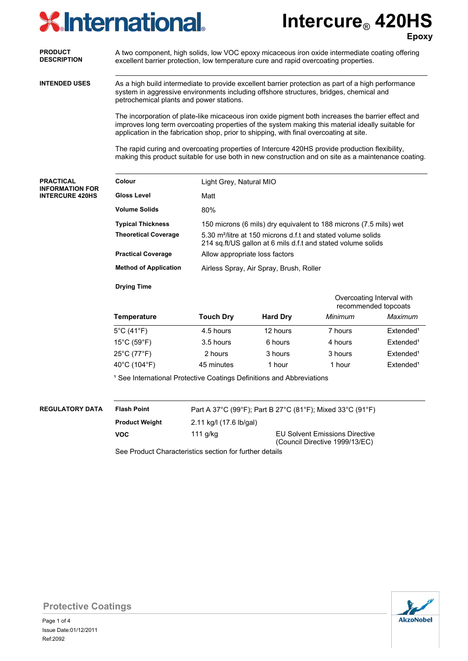# **XInternational**

**Intercure**® **420HS Epoxy**

|                                      |                                                                                                                                                                                                                                                                                                    |                                                                                                                                          |                                                                   |                                                                         | <b>Epox</b>           |  |  |  |
|--------------------------------------|----------------------------------------------------------------------------------------------------------------------------------------------------------------------------------------------------------------------------------------------------------------------------------------------------|------------------------------------------------------------------------------------------------------------------------------------------|-------------------------------------------------------------------|-------------------------------------------------------------------------|-----------------------|--|--|--|
| <b>PRODUCT</b><br><b>DESCRIPTION</b> | A two component, high solids, low VOC epoxy micaceous iron oxide intermediate coating offering<br>excellent barrier protection, low temperature cure and rapid overcoating properties.                                                                                                             |                                                                                                                                          |                                                                   |                                                                         |                       |  |  |  |
| <b>INTENDED USES</b>                 | As a high build intermediate to provide excellent barrier protection as part of a high performance<br>system in aggressive environments including offshore structures, bridges, chemical and<br>petrochemical plants and power stations.                                                           |                                                                                                                                          |                                                                   |                                                                         |                       |  |  |  |
|                                      | The incorporation of plate-like micaceous iron oxide pigment both increases the barrier effect and<br>improves long term overcoating properties of the system making this material ideally suitable for<br>application in the fabrication shop, prior to shipping, with final overcoating at site. |                                                                                                                                          |                                                                   |                                                                         |                       |  |  |  |
|                                      | The rapid curing and overcoating properties of Intercure 420HS provide production flexibility,<br>making this product suitable for use both in new construction and on site as a maintenance coating.                                                                                              |                                                                                                                                          |                                                                   |                                                                         |                       |  |  |  |
| <b>PRACTICAL</b><br>INFORMATION FOR  | Colour                                                                                                                                                                                                                                                                                             | Light Grey, Natural MIO                                                                                                                  |                                                                   |                                                                         |                       |  |  |  |
| <b>INTERCURE 420HS</b>               | <b>Gloss Level</b>                                                                                                                                                                                                                                                                                 | Matt                                                                                                                                     |                                                                   |                                                                         |                       |  |  |  |
|                                      | <b>Volume Solids</b>                                                                                                                                                                                                                                                                               | 80%                                                                                                                                      |                                                                   |                                                                         |                       |  |  |  |
|                                      | <b>Typical Thickness</b>                                                                                                                                                                                                                                                                           |                                                                                                                                          | 150 microns (6 mils) dry equivalent to 188 microns (7.5 mils) wet |                                                                         |                       |  |  |  |
|                                      | <b>Theoretical Coverage</b>                                                                                                                                                                                                                                                                        | 5.30 m <sup>2</sup> /litre at 150 microns d.f.t and stated volume solids<br>214 sq.ft/US gallon at 6 mils d.f.t and stated volume solids |                                                                   |                                                                         |                       |  |  |  |
|                                      | <b>Practical Coverage</b>                                                                                                                                                                                                                                                                          | Allow appropriate loss factors                                                                                                           |                                                                   |                                                                         |                       |  |  |  |
|                                      | <b>Method of Application</b>                                                                                                                                                                                                                                                                       | Airless Spray, Air Spray, Brush, Roller                                                                                                  |                                                                   |                                                                         |                       |  |  |  |
|                                      | <b>Drying Time</b>                                                                                                                                                                                                                                                                                 |                                                                                                                                          |                                                                   |                                                                         |                       |  |  |  |
|                                      |                                                                                                                                                                                                                                                                                                    | Overcoating Interval with<br>recommended topcoats                                                                                        |                                                                   |                                                                         |                       |  |  |  |
|                                      | <b>Temperature</b>                                                                                                                                                                                                                                                                                 | <b>Touch Dry</b>                                                                                                                         | <b>Hard Dry</b>                                                   | Minimum                                                                 | Maximum               |  |  |  |
|                                      | $5^{\circ}$ C (41 $^{\circ}$ F)                                                                                                                                                                                                                                                                    | 4.5 hours                                                                                                                                | 12 hours                                                          | 7 hours                                                                 | Extended <sup>1</sup> |  |  |  |
|                                      | $15^{\circ}$ C (59 $^{\circ}$ F)                                                                                                                                                                                                                                                                   | 3.5 hours                                                                                                                                | 6 hours                                                           | 4 hours                                                                 | Extended <sup>1</sup> |  |  |  |
|                                      | 25°C (77°F)                                                                                                                                                                                                                                                                                        | 2 hours                                                                                                                                  | 3 hours                                                           | 3 hours                                                                 | Extended <sup>1</sup> |  |  |  |
|                                      | 40°C (104°F)                                                                                                                                                                                                                                                                                       | 45 minutes                                                                                                                               | 1 hour                                                            | 1 hour                                                                  | Extended <sup>1</sup> |  |  |  |
|                                      | <sup>1</sup> See International Protective Coatings Definitions and Abbreviations                                                                                                                                                                                                                   |                                                                                                                                          |                                                                   |                                                                         |                       |  |  |  |
| <b>REGULATORY DATA</b>               | <b>Flash Point</b><br>Part A 37°C (99°F); Part B 27°C (81°F); Mixed 33°C (91°F)                                                                                                                                                                                                                    |                                                                                                                                          |                                                                   |                                                                         |                       |  |  |  |
|                                      | <b>Product Weight</b>                                                                                                                                                                                                                                                                              | 2.11 kg/l (17.6 lb/gal)                                                                                                                  |                                                                   |                                                                         |                       |  |  |  |
|                                      | <b>VOC</b>                                                                                                                                                                                                                                                                                         | 111 g/kg                                                                                                                                 |                                                                   | <b>EU Solvent Emissions Directive</b><br>(Council Directive 1999/13/EC) |                       |  |  |  |
|                                      | See Product Characteristics section for further details                                                                                                                                                                                                                                            |                                                                                                                                          |                                                                   |                                                                         |                       |  |  |  |
|                                      |                                                                                                                                                                                                                                                                                                    |                                                                                                                                          |                                                                   |                                                                         |                       |  |  |  |
|                                      |                                                                                                                                                                                                                                                                                                    |                                                                                                                                          |                                                                   |                                                                         |                       |  |  |  |



**Protective Coatings**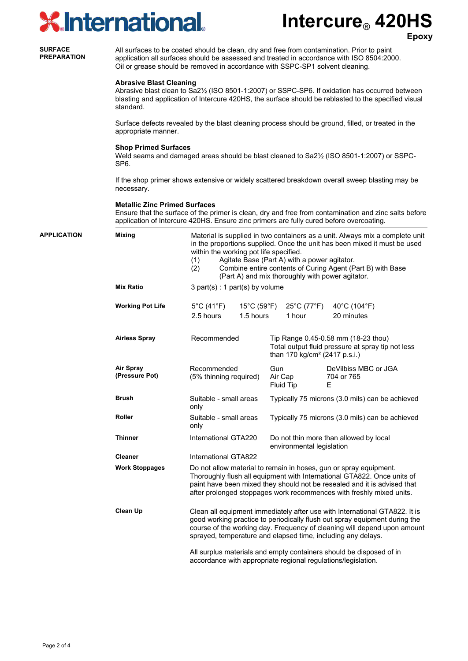## $\overline{\mathsf{d}}\mathbf{S}$

**Epoxy**

|                                      | <b>X</b> International.                                                                                                                                                                                                                                                         |                                                                                                                                                                                                                                                                                                                                                                                     |                                   | <b>Intercure<sub>®</sub> 420HS</b> | <b>Epox</b> |  |
|--------------------------------------|---------------------------------------------------------------------------------------------------------------------------------------------------------------------------------------------------------------------------------------------------------------------------------|-------------------------------------------------------------------------------------------------------------------------------------------------------------------------------------------------------------------------------------------------------------------------------------------------------------------------------------------------------------------------------------|-----------------------------------|------------------------------------|-------------|--|
| <b>SURFACE</b><br><b>PREPARATION</b> | All surfaces to be coated should be clean, dry and free from contamination. Prior to paint<br>application all surfaces should be assessed and treated in accordance with ISO 8504:2000.<br>Oil or grease should be removed in accordance with SSPC-SP1 solvent cleaning.        |                                                                                                                                                                                                                                                                                                                                                                                     |                                   |                                    |             |  |
|                                      | <b>Abrasive Blast Cleaning</b><br>Abrasive blast clean to Sa2 <sup>1</sup> / <sub>2</sub> (ISO 8501-1:2007) or SSPC-SP6. If oxidation has occurred between<br>blasting and application of Intercure 420HS, the surface should be reblasted to the specified visual<br>standard. |                                                                                                                                                                                                                                                                                                                                                                                     |                                   |                                    |             |  |
|                                      | Surface defects revealed by the blast cleaning process should be ground, filled, or treated in the<br>appropriate manner.                                                                                                                                                       |                                                                                                                                                                                                                                                                                                                                                                                     |                                   |                                    |             |  |
|                                      | <b>Shop Primed Surfaces</b><br>Weld seams and damaged areas should be blast cleaned to Sa2 <sup>1</sup> / <sub>2</sub> (ISO 8501-1:2007) or SSPC-<br>SP <sub>6</sub> .                                                                                                          |                                                                                                                                                                                                                                                                                                                                                                                     |                                   |                                    |             |  |
|                                      | If the shop primer shows extensive or widely scattered breakdown overall sweep blasting may be<br>necessary.                                                                                                                                                                    |                                                                                                                                                                                                                                                                                                                                                                                     |                                   |                                    |             |  |
|                                      | <b>Metallic Zinc Primed Surfaces</b><br>Ensure that the surface of the primer is clean, dry and free from contamination and zinc salts before<br>application of Intercure 420HS. Ensure zinc primers are fully cured before overcoating.                                        |                                                                                                                                                                                                                                                                                                                                                                                     |                                   |                                    |             |  |
| <b>APPLICATION</b>                   | <b>Mixing</b>                                                                                                                                                                                                                                                                   | Material is supplied in two containers as a unit. Always mix a complete unit<br>in the proportions supplied. Once the unit has been mixed it must be used<br>within the working pot life specified.<br>Agitate Base (Part A) with a power agitator.<br>(1)<br>Combine entire contents of Curing Agent (Part B) with Base<br>(2)<br>(Part A) and mix thoroughly with power agitator. |                                   |                                    |             |  |
|                                      | <b>Mix Ratio</b>                                                                                                                                                                                                                                                                |                                                                                                                                                                                                                                                                                                                                                                                     | $3$ part(s) : 1 part(s) by volume |                                    |             |  |

| <b>Working Pot Life</b>            | $5^{\circ}$ C (41 $^{\circ}$ F)<br>2.5 hours                                                                                                                                                                                                                                                         | $15^{\circ}$ C (59 $^{\circ}$ F)<br>1.5 hours |                                                                                                                                       | $25^{\circ}$ C (77 $^{\circ}$ F)<br>1 hour | 40°C (104°F)<br>20 minutes              |  |
|------------------------------------|------------------------------------------------------------------------------------------------------------------------------------------------------------------------------------------------------------------------------------------------------------------------------------------------------|-----------------------------------------------|---------------------------------------------------------------------------------------------------------------------------------------|--------------------------------------------|-----------------------------------------|--|
| <b>Airless Spray</b>               | Recommended                                                                                                                                                                                                                                                                                          |                                               | Tip Range 0.45-0.58 mm (18-23 thou)<br>Total output fluid pressure at spray tip not less<br>than 170 kg/cm <sup>2</sup> (2417 p.s.i.) |                                            |                                         |  |
| <b>Air Spray</b><br>(Pressure Pot) | Recommended<br>(5% thinning required)                                                                                                                                                                                                                                                                |                                               | Gun<br>Air Cap<br>Fluid Tip                                                                                                           |                                            | DeVilbiss MBC or JGA<br>704 or 765<br>Е |  |
| <b>Brush</b>                       | Suitable - small areas<br>only                                                                                                                                                                                                                                                                       |                                               | Typically 75 microns (3.0 mils) can be achieved                                                                                       |                                            |                                         |  |
| Roller                             | Suitable - small areas<br>only                                                                                                                                                                                                                                                                       |                                               | Typically 75 microns (3.0 mils) can be achieved                                                                                       |                                            |                                         |  |
| <b>Thinner</b>                     | International GTA220                                                                                                                                                                                                                                                                                 |                                               | Do not thin more than allowed by local<br>environmental legislation                                                                   |                                            |                                         |  |
| <b>Cleaner</b>                     | International GTA822                                                                                                                                                                                                                                                                                 |                                               |                                                                                                                                       |                                            |                                         |  |
| <b>Work Stoppages</b>              | Do not allow material to remain in hoses, gun or spray equipment.<br>Thoroughly flush all equipment with International GTA822. Once units of<br>paint have been mixed they should not be resealed and it is advised that<br>after prolonged stoppages work recommences with freshly mixed units.     |                                               |                                                                                                                                       |                                            |                                         |  |
| <b>Clean Up</b>                    | Clean all equipment immediately after use with International GTA822. It is<br>good working practice to periodically flush out spray equipment during the<br>course of the working day. Frequency of cleaning will depend upon amount<br>sprayed, temperature and elapsed time, including any delays. |                                               |                                                                                                                                       |                                            |                                         |  |
|                                    | All surplus materials and empty containers should be disposed of in<br>accordance with appropriate regional regulations/legislation.                                                                                                                                                                 |                                               |                                                                                                                                       |                                            |                                         |  |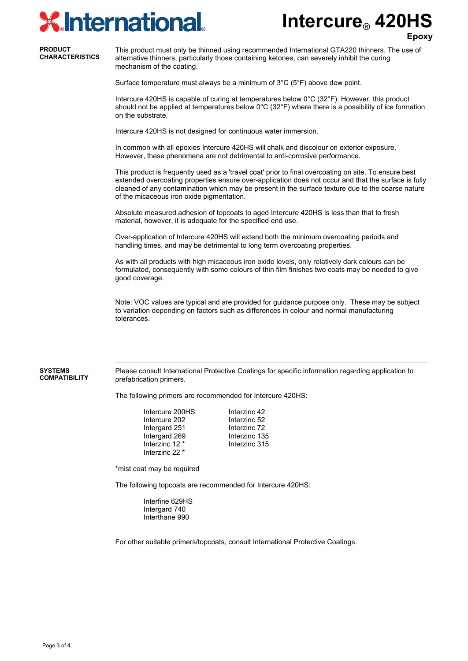## **KInternational.**

**Intercure**® **420HS**

**Epoxy**

#### **PRODUCT CHARACTERISTICS**

This product must only be thinned using recommended International GTA220 thinners. The use of alternative thinners, particularly those containing ketones, can severely inhibit the curing mechanism of the coating.

Surface temperature must always be a minimum of 3°C (5°F) above dew point.

Intercure 420HS is capable of curing at temperatures below 0°C (32°F). However, this product should not be applied at temperatures below  $0^{\circ}$ C (32 $^{\circ}$ F) where there is a possibility of ice formation on the substrate.

Intercure 420HS is not designed for continuous water immersion.

In common with all epoxies Intercure 420HS will chalk and discolour on exterior exposure. However, these phenomena are not detrimental to anti-corrosive performance.

This product is frequently used as a 'travel coat' prior to final overcoating on site. To ensure best extended overcoating properties ensure over-application does not occur and that the surface is fully cleaned of any contamination which may be present in the surface texture due to the coarse nature of the micaceous iron oxide pigmentation.

Absolute measured adhesion of topcoats to aged Intercure 420HS is less than that to fresh material, however, it is adequate for the specified end use.

Over-application of Intercure 420HS will extend both the minimum overcoating periods and handling times, and may be detrimental to long term overcoating properties.

As with all products with high micaceous iron oxide levels, only relatively dark colours can be formulated, consequently with some colours of thin film finishes two coats may be needed to give good coverage.

Note: VOC values are typical and are provided for guidance purpose only. These may be subject to variation depending on factors such as differences in colour and normal manufacturing tolerances.

Please consult International Protective Coatings for specific information regarding application to prefabrication primers.

The following primers are recommended for Intercure 420HS:

| Intercure 200HS | Interzinc 42  |
|-----------------|---------------|
| Intercure 202   | Interzinc 52  |
| Intergard 251   | Interzinc 72  |
| Intergard 269   | Interzinc 135 |
| Interzinc 12 *  | Interzinc 315 |
| Interzinc 22 *  |               |

\*mist coat may be required

The following topcoats are recommended for Intercure 420HS:

Interfine 629HS Intergard 740 Interthane 990

For other suitable primers/topcoats, consult International Protective Coatings.

**SYSTEMS COMPATIBILITY**